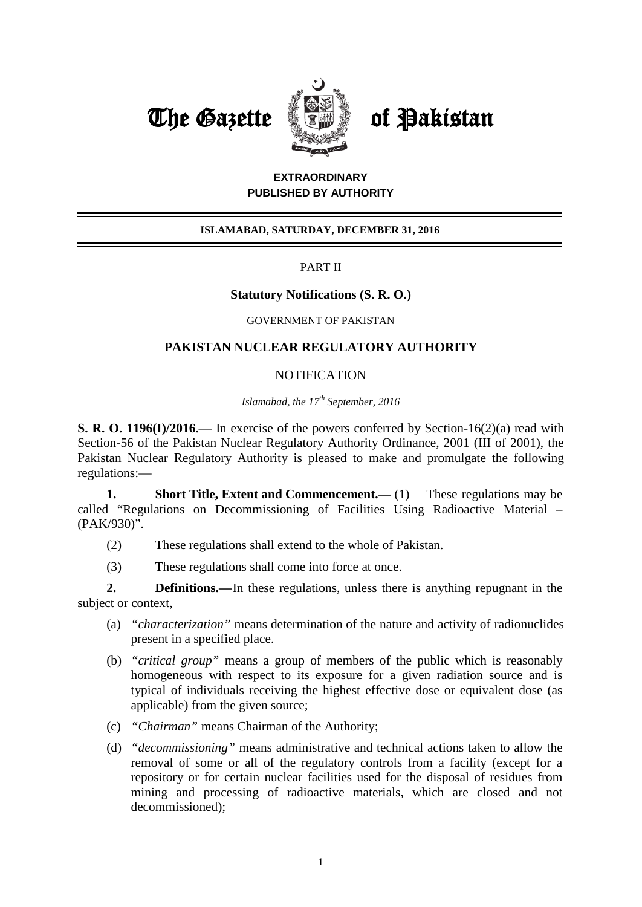



# **EXTRAORDINARY PUBLISHED BY AUTHORITY**

## **ISLAMABAD, SATURDAY, DECEMBER 31, 2016**

### PART II

### **Statutory Notifications (S. R. O.)**

#### GOVERNMENT OF PAKISTAN

### **PAKISTAN NUCLEAR REGULATORY AUTHORITY**

### **NOTIFICATION**

*Islamabad, the 17th September, 2016*

**S. R. O. 1196(I)/2016.**— In exercise of the powers conferred by Section-16(2)(a) read with Section-56 of the Pakistan Nuclear Regulatory Authority Ordinance, 2001 (III of 2001), the Pakistan Nuclear Regulatory Authority is pleased to make and promulgate the following regulations:—

**1. Short Title, Extent and Commencement.** (1) These regulations may be called "Regulations on Decommissioning of Facilities Using Radioactive Material – (PAK/930)".

- (2) These regulations shall extend to the whole of Pakistan.
- (3) These regulations shall come into force at once.

**2. Definitions.—**In these regulations, unless there is anything repugnant in the subject or context,

- (a) *"characterization"* means determination of the nature and activity of radionuclides present in a specified place.
- (b) *"critical group"* means a group of members of the public which is reasonably homogeneous with respect to its exposure for a given radiation source and is typical of individuals receiving the highest effective dose or equivalent dose (as applicable) from the given source;
- (c) *"Chairman"* means Chairman of the Authority;
- (d) *"decommissioning"* means administrative and technical actions taken to allow the removal of some or all of the regulatory controls from a facility (except for a repository or for certain nuclear facilities used for the disposal of residues from mining and processing of radioactive materials, which are closed and not decommissioned);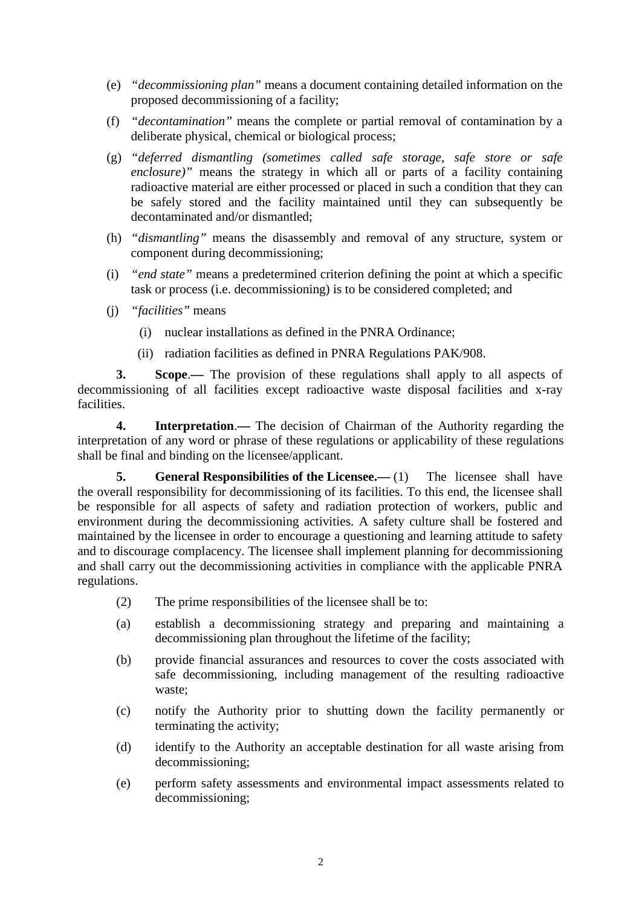- (e) *"decommissioning plan"* means a document containing detailed information on the proposed decommissioning of a facility;
- (f) *"decontamination"* means the complete or partial removal of contamination by a deliberate physical, chemical or biological process;
- (g) *"deferred dismantling (sometimes called safe storage, safe store or safe enclosure*)" means the strategy in which all or parts of a facility containing radioactive material are either processed or placed in such a condition that they can be safely stored and the facility maintained until they can subsequently be decontaminated and/or dismantled;
- (h) *"dismantling"* means the disassembly and removal of any structure, system or component during decommissioning;
- (i) *"end state"* means a predetermined criterion defining the point at which a specific task or process (i.e. decommissioning) is to be considered completed; and
- (j) *"facilities"* means
	- (i) nuclear installations as defined in the PNRA Ordinance;
	- (ii) radiation facilities as defined in PNRA Regulations PAK/908.

**3. Scope**.**—** The provision of these regulations shall apply to all aspects of decommissioning of all facilities except radioactive waste disposal facilities and x-ray facilities.

**4. Interpretation**.**—** The decision of Chairman of the Authority regarding the interpretation of any word or phrase of these regulations or applicability of these regulations shall be final and binding on the licensee/applicant.

**5. General Responsibilities of the Licensee.** (1) The licensee shall have the overall responsibility for decommissioning of its facilities. To this end, the licensee shall be responsible for all aspects of safety and radiation protection of workers, public and environment during the decommissioning activities. A safety culture shall be fostered and maintained by the licensee in order to encourage a questioning and learning attitude to safety and to discourage complacency. The licensee shall implement planning for decommissioning and shall carry out the decommissioning activities in compliance with the applicable PNRA regulations.

- (2) The prime responsibilities of the licensee shall be to:
- (a) establish a decommissioning strategy and preparing and maintaining a decommissioning plan throughout the lifetime of the facility;
- (b) provide financial assurances and resources to cover the costs associated with safe decommissioning, including management of the resulting radioactive waste;
- (c) notify the Authority prior to shutting down the facility permanently or terminating the activity;
- (d) identify to the Authority an acceptable destination for all waste arising from decommissioning;
- (e) perform safety assessments and environmental impact assessments related to decommissioning;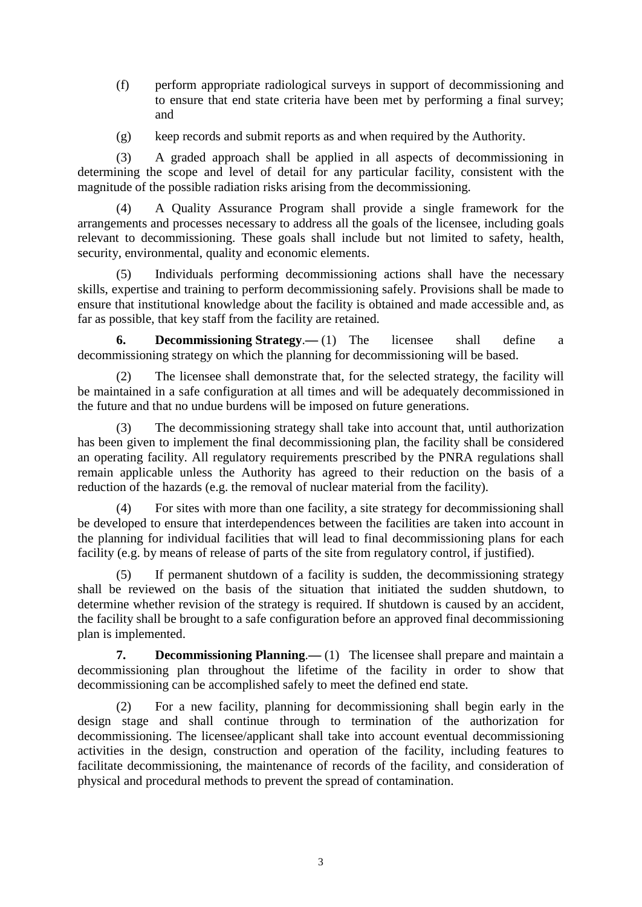- (f) perform appropriate radiological surveys in support of decommissioning and to ensure that end state criteria have been met by performing a final survey; and
- (g) keep records and submit reports as and when required by the Authority.

(3) A graded approach shall be applied in all aspects of decommissioning in determining the scope and level of detail for any particular facility, consistent with the magnitude of the possible radiation risks arising from the decommissioning.

(4) A Quality Assurance Program shall provide a single framework for the arrangements and processes necessary to address all the goals of the licensee, including goals relevant to decommissioning. These goals shall include but not limited to safety, health, security, environmental, quality and economic elements.

(5) Individuals performing decommissioning actions shall have the necessary skills, expertise and training to perform decommissioning safely. Provisions shall be made to ensure that institutional knowledge about the facility is obtained and made accessible and, as far as possible, that key staff from the facility are retained.

**6. Decommissioning Strategy**.**—** (1) The licensee shall define a decommissioning strategy on which the planning for decommissioning will be based.

(2) The licensee shall demonstrate that, for the selected strategy, the facility will be maintained in a safe configuration at all times and will be adequately decommissioned in the future and that no undue burdens will be imposed on future generations.

(3) The decommissioning strategy shall take into account that, until authorization has been given to implement the final decommissioning plan, the facility shall be considered an operating facility. All regulatory requirements prescribed by the PNRA regulations shall remain applicable unless the Authority has agreed to their reduction on the basis of a reduction of the hazards (e.g. the removal of nuclear material from the facility).

(4) For sites with more than one facility, a site strategy for decommissioning shall be developed to ensure that interdependences between the facilities are taken into account in the planning for individual facilities that will lead to final decommissioning plans for each facility (e.g. by means of release of parts of the site from regulatory control, if justified).

If permanent shutdown of a facility is sudden, the decommissioning strategy shall be reviewed on the basis of the situation that initiated the sudden shutdown, to determine whether revision of the strategy is required. If shutdown is caused by an accident, the facility shall be brought to a safe configuration before an approved final decommissioning plan is implemented.

**7. Decommissioning Planning**.**—** (1) The licensee shall prepare and maintain a decommissioning plan throughout the lifetime of the facility in order to show that decommissioning can be accomplished safely to meet the defined end state.

(2) For a new facility, planning for decommissioning shall begin early in the design stage and shall continue through to termination of the authorization for decommissioning. The licensee/applicant shall take into account eventual decommissioning activities in the design, construction and operation of the facility, including features to facilitate decommissioning, the maintenance of records of the facility, and consideration of physical and procedural methods to prevent the spread of contamination.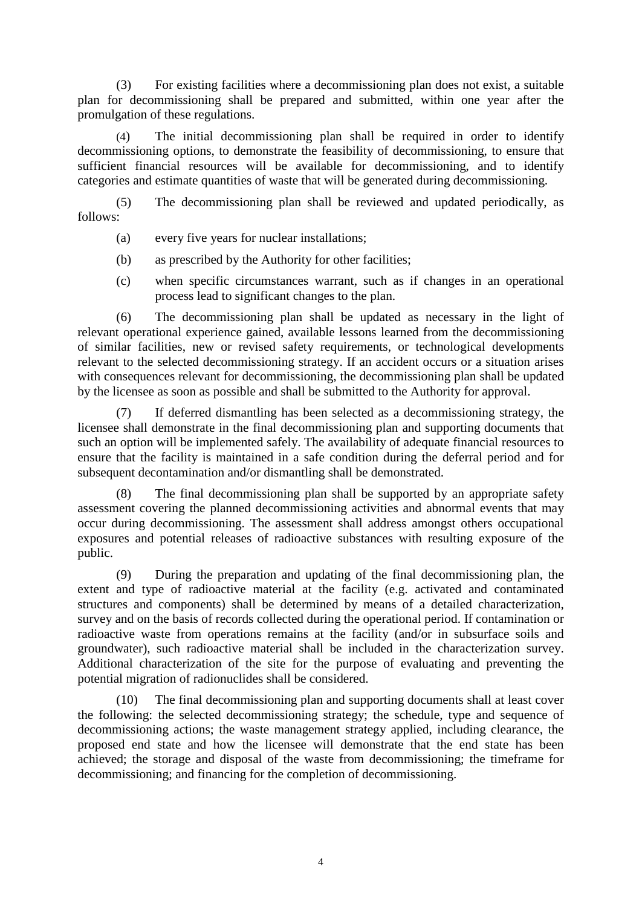(3) For existing facilities where a decommissioning plan does not exist, a suitable plan for decommissioning shall be prepared and submitted, within one year after the promulgation of these regulations.

(4) The initial decommissioning plan shall be required in order to identify decommissioning options, to demonstrate the feasibility of decommissioning, to ensure that sufficient financial resources will be available for decommissioning, and to identify categories and estimate quantities of waste that will be generated during decommissioning.

(5) The decommissioning plan shall be reviewed and updated periodically, as follows:

- (a) every five years for nuclear installations;
- (b) as prescribed by the Authority for other facilities;
- (c) when specific circumstances warrant, such as if changes in an operational process lead to significant changes to the plan.

(6) The decommissioning plan shall be updated as necessary in the light of relevant operational experience gained, available lessons learned from the decommissioning of similar facilities, new or revised safety requirements, or technological developments relevant to the selected decommissioning strategy. If an accident occurs or a situation arises with consequences relevant for decommissioning, the decommissioning plan shall be updated by the licensee as soon as possible and shall be submitted to the Authority for approval.

(7) If deferred dismantling has been selected as a decommissioning strategy, the licensee shall demonstrate in the final decommissioning plan and supporting documents that such an option will be implemented safely. The availability of adequate financial resources to ensure that the facility is maintained in a safe condition during the deferral period and for subsequent decontamination and/or dismantling shall be demonstrated.

(8) The final decommissioning plan shall be supported by an appropriate safety assessment covering the planned decommissioning activities and abnormal events that may occur during decommissioning. The assessment shall address amongst others occupational exposures and potential releases of radioactive substances with resulting exposure of the public.

(9) During the preparation and updating of the final decommissioning plan, the extent and type of radioactive material at the facility (e.g. activated and contaminated structures and components) shall be determined by means of a detailed characterization, survey and on the basis of records collected during the operational period. If contamination or radioactive waste from operations remains at the facility (and/or in subsurface soils and groundwater), such radioactive material shall be included in the characterization survey. Additional characterization of the site for the purpose of evaluating and preventing the potential migration of radionuclides shall be considered.

(10) The final decommissioning plan and supporting documents shall at least cover the following: the selected decommissioning strategy; the schedule, type and sequence of decommissioning actions; the waste management strategy applied, including clearance, the proposed end state and how the licensee will demonstrate that the end state has been achieved; the storage and disposal of the waste from decommissioning; the timeframe for decommissioning; and financing for the completion of decommissioning.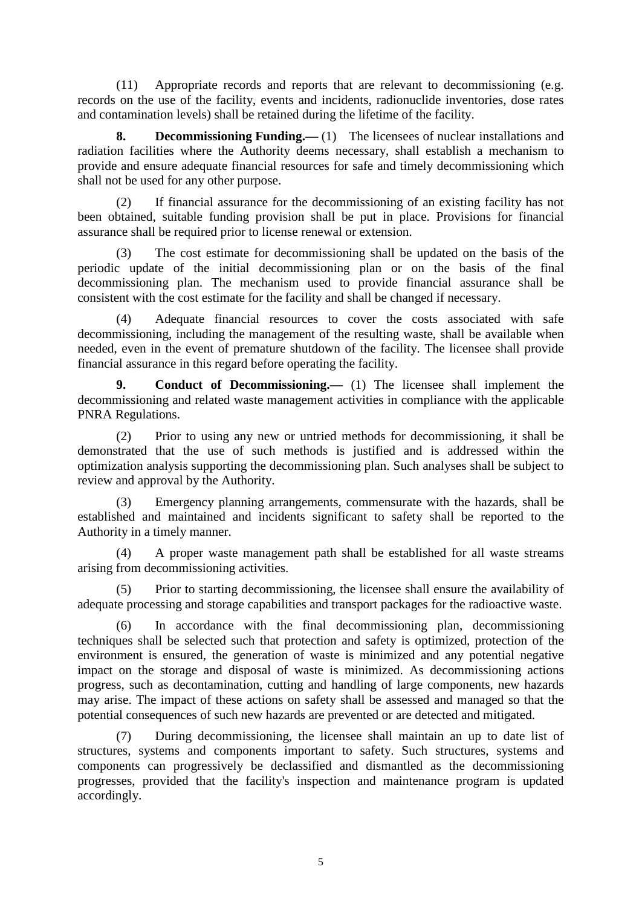(11) Appropriate records and reports that are relevant to decommissioning (e.g. records on the use of the facility, events and incidents, radionuclide inventories, dose rates and contamination levels) shall be retained during the lifetime of the facility.

**8. Decommissioning Funding.—** (1) The licensees of nuclear installations and radiation facilities where the Authority deems necessary, shall establish a mechanism to provide and ensure adequate financial resources for safe and timely decommissioning which shall not be used for any other purpose.

(2) If financial assurance for the decommissioning of an existing facility has not been obtained, suitable funding provision shall be put in place. Provisions for financial assurance shall be required prior to license renewal or extension.

(3) The cost estimate for decommissioning shall be updated on the basis of the periodic update of the initial decommissioning plan or on the basis of the final decommissioning plan. The mechanism used to provide financial assurance shall be consistent with the cost estimate for the facility and shall be changed if necessary.

(4) Adequate financial resources to cover the costs associated with safe decommissioning, including the management of the resulting waste, shall be available when needed, even in the event of premature shutdown of the facility. The licensee shall provide financial assurance in this regard before operating the facility.

**9. Conduct of Decommissioning.—** (1) The licensee shall implement the decommissioning and related waste management activities in compliance with the applicable PNRA Regulations.

(2) Prior to using any new or untried methods for decommissioning, it shall be demonstrated that the use of such methods is justified and is addressed within the optimization analysis supporting the decommissioning plan. Such analyses shall be subject to review and approval by the Authority.

Emergency planning arrangements, commensurate with the hazards, shall be established and maintained and incidents significant to safety shall be reported to the Authority in a timely manner.

(4) A proper waste management path shall be established for all waste streams arising from decommissioning activities.

(5) Prior to starting decommissioning, the licensee shall ensure the availability of adequate processing and storage capabilities and transport packages for the radioactive waste.

In accordance with the final decommissioning plan, decommissioning techniques shall be selected such that protection and safety is optimized, protection of the environment is ensured, the generation of waste is minimized and any potential negative impact on the storage and disposal of waste is minimized. As decommissioning actions progress, such as decontamination, cutting and handling of large components, new hazards may arise. The impact of these actions on safety shall be assessed and managed so that the potential consequences of such new hazards are prevented or are detected and mitigated.

(7) During decommissioning, the licensee shall maintain an up to date list of structures, systems and components important to safety. Such structures, systems and components can progressively be declassified and dismantled as the decommissioning progresses, provided that the facility's inspection and maintenance program is updated accordingly.